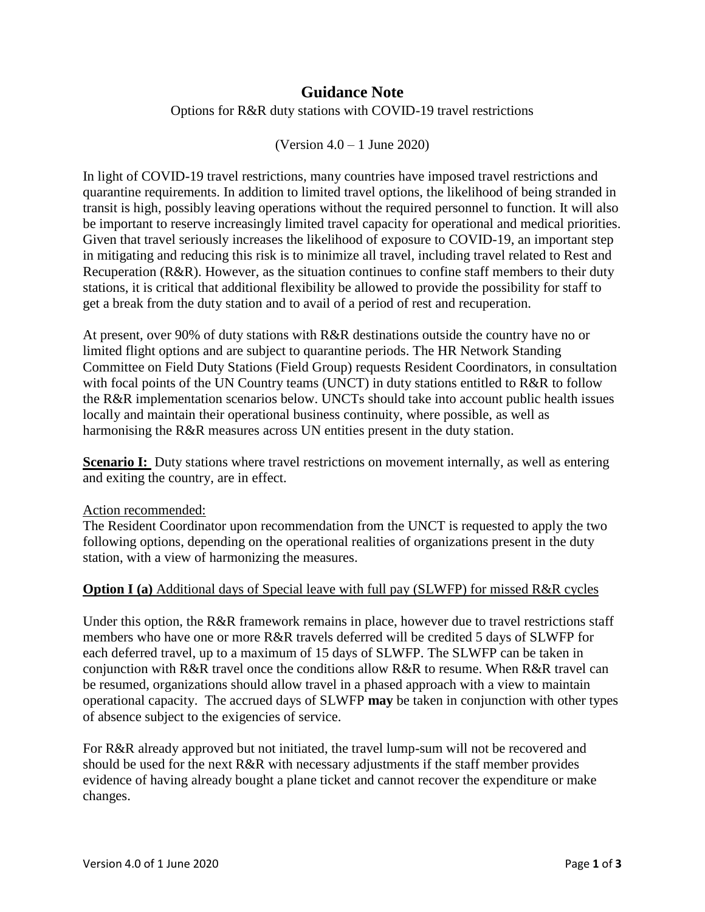# **Guidance Note**

Options for R&R duty stations with COVID-19 travel restrictions

(Version 4.0 – 1 June 2020)

In light of COVID-19 travel restrictions, many countries have imposed travel restrictions and quarantine requirements. In addition to limited travel options, the likelihood of being stranded in transit is high, possibly leaving operations without the required personnel to function. It will also be important to reserve increasingly limited travel capacity for operational and medical priorities. Given that travel seriously increases the likelihood of exposure to COVID-19, an important step in mitigating and reducing this risk is to minimize all travel, including travel related to Rest and Recuperation (R&R). However, as the situation continues to confine staff members to their duty stations, it is critical that additional flexibility be allowed to provide the possibility for staff to get a break from the duty station and to avail of a period of rest and recuperation.

At present, over 90% of duty stations with R&R destinations outside the country have no or limited flight options and are subject to quarantine periods. The HR Network Standing Committee on Field Duty Stations (Field Group) requests Resident Coordinators, in consultation with focal points of the UN Country teams (UNCT) in duty stations entitled to R&R to follow the R&R implementation scenarios below. UNCTs should take into account public health issues locally and maintain their operational business continuity, where possible, as well as harmonising the R&R measures across UN entities present in the duty station.

**Scenario I:** Duty stations where travel restrictions on movement internally, as well as entering and exiting the country, are in effect.

#### Action recommended:

The Resident Coordinator upon recommendation from the UNCT is requested to apply the two following options, depending on the operational realities of organizations present in the duty station, with a view of harmonizing the measures.

#### **Option I (a)** Additional days of Special leave with full pay (SLWFP) for missed R&R cycles

Under this option, the R&R framework remains in place, however due to travel restrictions staff members who have one or more R&R travels deferred will be credited 5 days of SLWFP for each deferred travel, up to a maximum of 15 days of SLWFP. The SLWFP can be taken in conjunction with R&R travel once the conditions allow R&R to resume. When R&R travel can be resumed, organizations should allow travel in a phased approach with a view to maintain operational capacity. The accrued days of SLWFP **may** be taken in conjunction with other types of absence subject to the exigencies of service.

For R&R already approved but not initiated, the travel lump-sum will not be recovered and should be used for the next R&R with necessary adjustments if the staff member provides evidence of having already bought a plane ticket and cannot recover the expenditure or make changes.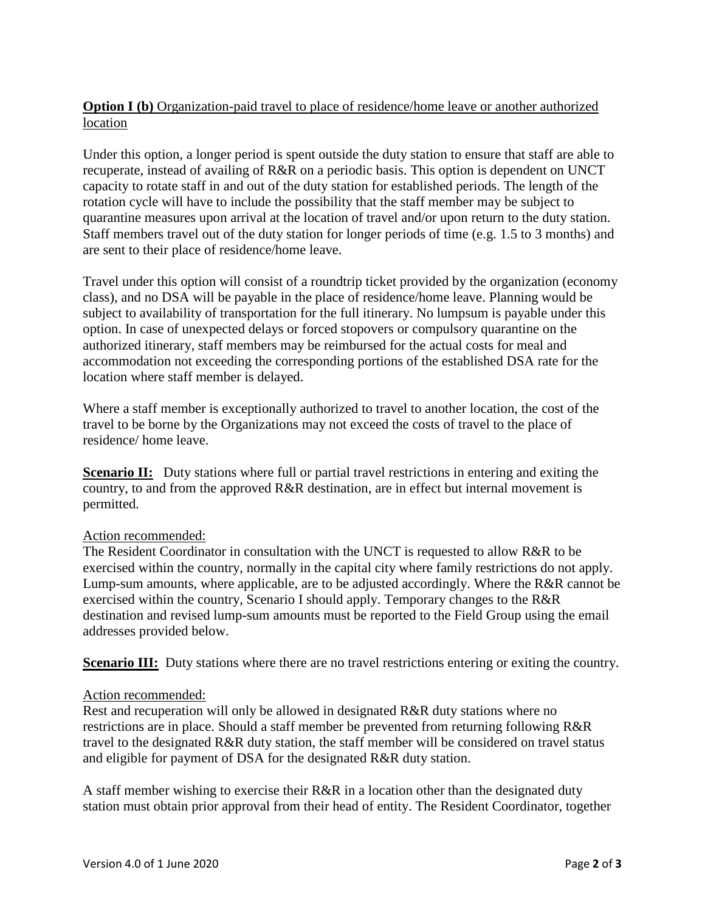## **Option I (b)** Organization-paid travel to place of residence/home leave or another authorized location

Under this option, a longer period is spent outside the duty station to ensure that staff are able to recuperate, instead of availing of R&R on a periodic basis. This option is dependent on UNCT capacity to rotate staff in and out of the duty station for established periods. The length of the rotation cycle will have to include the possibility that the staff member may be subject to quarantine measures upon arrival at the location of travel and/or upon return to the duty station. Staff members travel out of the duty station for longer periods of time (e.g. 1.5 to 3 months) and are sent to their place of residence/home leave.

Travel under this option will consist of a roundtrip ticket provided by the organization (economy class), and no DSA will be payable in the place of residence/home leave. Planning would be subject to availability of transportation for the full itinerary. No lumpsum is payable under this option. In case of unexpected delays or forced stopovers or compulsory quarantine on the authorized itinerary, staff members may be reimbursed for the actual costs for meal and accommodation not exceeding the corresponding portions of the established DSA rate for the location where staff member is delayed.

Where a staff member is exceptionally authorized to travel to another location, the cost of the travel to be borne by the Organizations may not exceed the costs of travel to the place of residence/ home leave.

**Scenario II:** Duty stations where full or partial travel restrictions in entering and exiting the country, to and from the approved R&R destination, are in effect but internal movement is permitted.

## Action recommended:

The Resident Coordinator in consultation with the UNCT is requested to allow R&R to be exercised within the country, normally in the capital city where family restrictions do not apply. Lump-sum amounts, where applicable, are to be adjusted accordingly. Where the R&R cannot be exercised within the country, Scenario I should apply. Temporary changes to the R&R destination and revised lump-sum amounts must be reported to the Field Group using the email addresses provided below.

**Scenario III:** Duty stations where there are no travel restrictions entering or exiting the country.

## Action recommended:

Rest and recuperation will only be allowed in designated R&R duty stations where no restrictions are in place. Should a staff member be prevented from returning following R&R travel to the designated R&R duty station, the staff member will be considered on travel status and eligible for payment of DSA for the designated R&R duty station.

A staff member wishing to exercise their R&R in a location other than the designated duty station must obtain prior approval from their head of entity. The Resident Coordinator, together